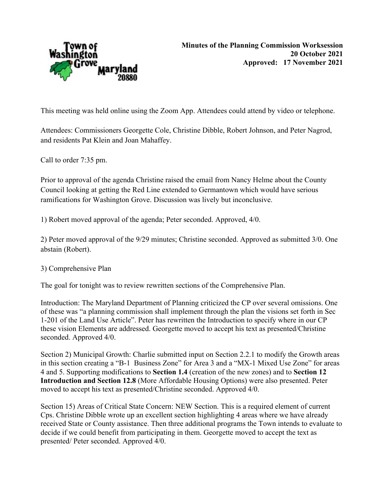

This meeting was held online using the Zoom App. Attendees could attend by video or telephone.

Attendees: Commissioners Georgette Cole, Christine Dibble, Robert Johnson, and Peter Nagrod, and residents Pat Klein and Joan Mahaffey.

Call to order 7:35 pm.

Prior to approval of the agenda Christine raised the email from Nancy Helme about the County Council looking at getting the Red Line extended to Germantown which would have serious ramifications for Washington Grove. Discussion was lively but inconclusive.

1) Robert moved approval of the agenda; Peter seconded. Approved, 4/0.

2) Peter moved approval of the 9/29 minutes; Christine seconded. Approved as submitted 3/0. One abstain (Robert).

3) Comprehensive Plan

The goal for tonight was to review rewritten sections of the Comprehensive Plan.

Introduction: The Maryland Department of Planning criticized the CP over several omissions. One of these was "a planning commission shall implement through the plan the visions set forth in Sec 1-201 of the Land Use Article". Peter has rewritten the Introduction to specify where in our CP these vision Elements are addressed. Georgette moved to accept his text as presented/Christine seconded. Approved 4/0.

Section 2) Municipal Growth: Charlie submitted input on Section 2.2.1 to modify the Growth areas in this section creating a "B-1 Business Zone" for Area 3 and a "MX-1 Mixed Use Zone" for areas 4 and 5. Supporting modifications to Section 1.4 (creation of the new zones) and to Section 12 Introduction and Section 12.8 (More Affordable Housing Options) were also presented. Peter moved to accept his text as presented/Christine seconded. Approved 4/0.

Section 15) Areas of Critical State Concern: NEW Section. This is a required element of current Cps. Christine Dibble wrote up an excellent section highlighting 4 areas where we have already received State or County assistance. Then three additional programs the Town intends to evaluate to decide if we could benefit from participating in them. Georgette moved to accept the text as presented/ Peter seconded. Approved 4/0.